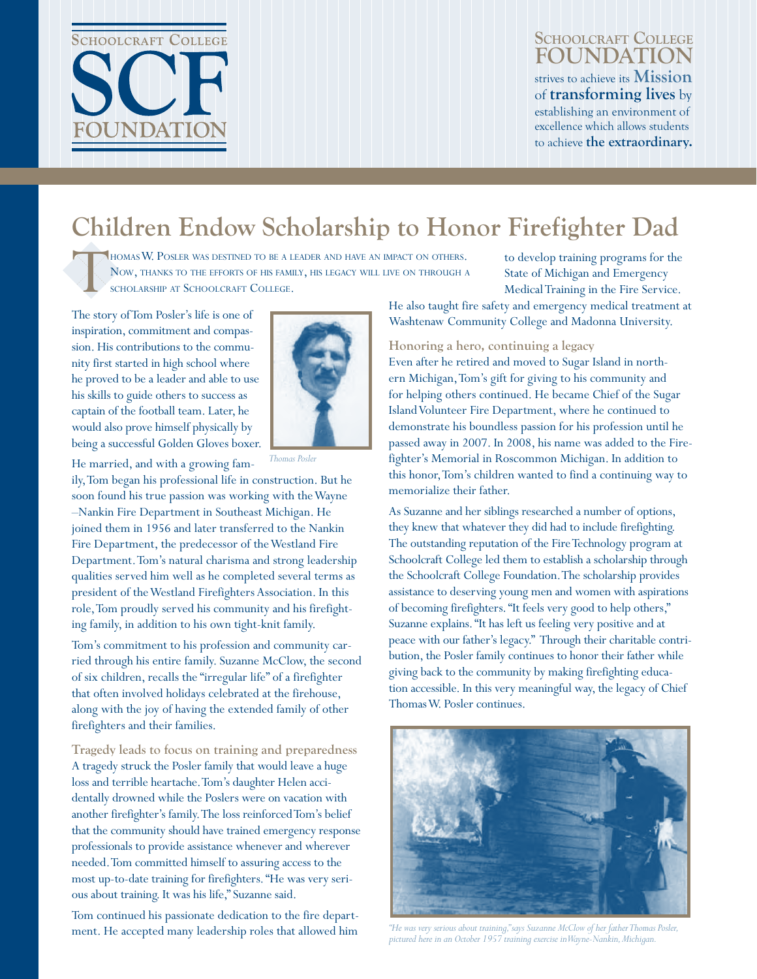

#### **Schoolcraft College FOUNDATIO** strives to achieve its **Mission** of **transforming lives** by establishing an environment of excellence which allows students to achieve **the extraordinary.**

**Fall 2009**

# **Children Endow Scholarship to Honor Firefighter Dad**

HOMAS W. POSLER WAS DESTINED TO BE A LEADER AND HAVE AN IMPACT ON OTHERS. Now, thanks to the efforts of his family, his legacy will live on through <sup>a</sup> scholarship at Schoolcraft College.

The story of Tom Posler's life is one of inspiration, commitment and compassion. His contributions to the community first started in high school where he proved to be a leader and able to use his skills to guide others to success as captain of the football team. Later, he would also prove himself physically by being a successful Golden Gloves boxer.

He married, and with a growing fam-



*Thomas Posler*

ily, Tom began his professional life in construction. But he soon found his true passion was working with the Wayne –Nankin Fire Department in Southeast Michigan. He joined them in 1956 and later transferred to the Nankin Fire Department, the predecessor of the Westland Fire Department. Tom's natural charisma and strong leadership qualities served him well as he completed several terms as president of the Westland Firefighters Association. In this role, Tom proudly served his community and his firefighting family, in addition to his own tight-knit family.

Tom's commitment to his profession and community carried through his entire family. Suzanne McClow, the second of six children, recalls the "irregular life" of a firefighter that often involved holidays celebrated at the firehouse, along with the joy of having the extended family of other firefighters and their families.

**Tragedy leads to focus on training and preparedness** A tragedy struck the Posler family that would leave a huge loss and terrible heartache. Tom's daughter Helen accidentally drowned while the Poslers were on vacation with another firefighter's family. The loss reinforced Tom's belief that the community should have trained emergency response professionals to provide assistance whenever and wherever needed. Tom committed himself to assuring access to the most up-to-date training for firefighters. "He was very serious about training. It was his life," Suzanne said.

Tom continued his passionate dedication to the fire department. He accepted many leadership roles that allowed him

to develop training programs for the State of Michigan and Emergency Medical Training in the Fire Service.

He also taught fire safety and emergency medical treatment at Washtenaw Community College and Madonna University.

**Honoring a hero, continuing a legacy**

Even after he retired and moved to Sugar Island in northern Michigan, Tom's gift for giving to his community and for helping others continued. He became Chief of the Sugar Island Volunteer Fire Department, where he continued to demonstrate his boundless passion for his profession until he passed away in 2007. In 2008, his name was added to the Firefighter's Memorial in Roscommon Michigan. In addition to this honor, Tom's children wanted to find a continuing way to memorialize their father.

As Suzanne and her siblings researched a number of options, they knew that whatever they did had to include firefighting. The outstanding reputation of the Fire Technology program at Schoolcraft College led them to establish a scholarship through the Schoolcraft College Foundation. The scholarship provides assistance to deserving young men and women with aspirations of becoming firefighters. "It feels very good to help others," Suzanne explains. "It has left us feeling very positive and at peace with our father's legacy." Through their charitable contribution, the Posler family continues to honor their father while giving back to the community by making firefighting education accessible. In this very meaningful way, the legacy of Chief Thomas W. Posler continues.



*"He was very serious about training," says Suzanne McClow of her father Thomas Posler, pictured here in an October 1957 training exercise in Wayne-Nankin, Michigan.*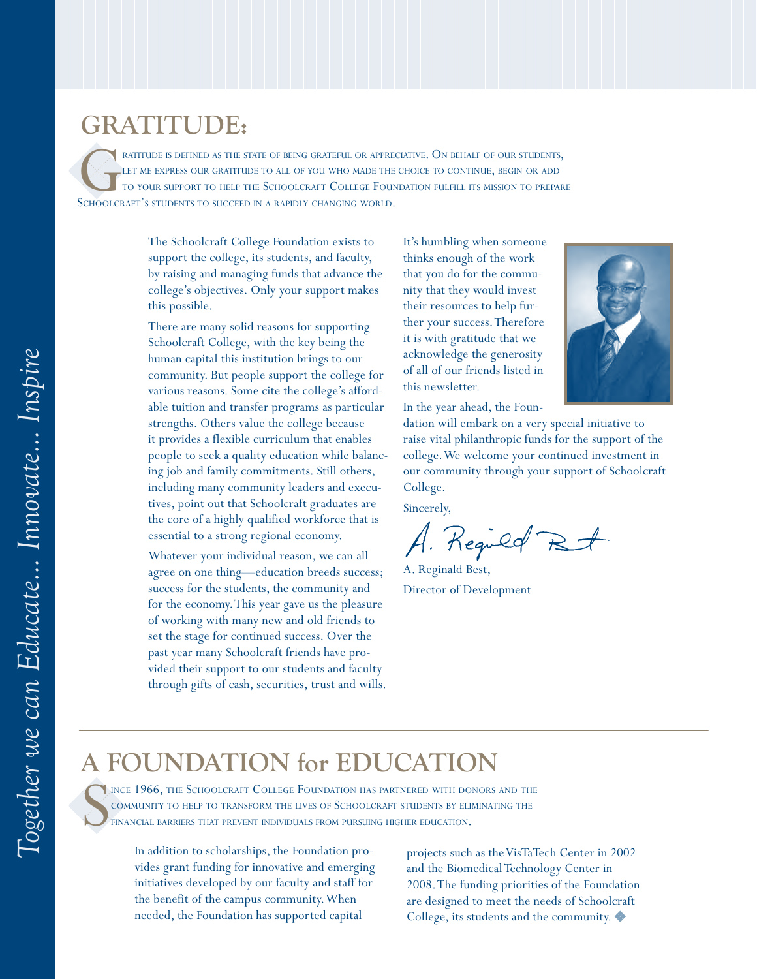### **GRATITUDE:**

RATITUDE IS DEFINED AS THE STATE OF BEING GRATEFUL OR APPRECIATIVE. ON BEHALF OF OUR STUDENTS,<br>TO YOUR SUPPORT TO HELP THE SCHOOLCRAFT COLLEGE FOUNDATION FULFILL ITS MISSION TO PREPARE<br>SCHOOLCRAFT'S STUDENTS TO SUCCEED IN LET ME EXPRESS OUR GRATITUDE TO ALL OF YOU WHO MADE THE CHOICE TO CONTINUE, BEGIN OR ADD to your support to help the Schoolcraft College Foundation fulfill its mission to prepare SCHOOLCRAFT'S STUDENTS TO SUCCEED IN A RAPIDLY CHANGING WORLD.

> The Schoolcraft College Foundation exists to support the college, its students, and faculty, by raising and managing funds that advance the college's objectives. Only your support makes this possible.

There are many solid reasons for supporting Schoolcraft College, with the key being the human capital this institution brings to our community. But people support the college for various reasons. Some cite the college's affordable tuition and transfer programs as particular strengths. Others value the college because it provides a flexible curriculum that enables people to seek a quality education while balancing job and family commitments. Still others, including many community leaders and executives, point out that Schoolcraft graduates are the core of a highly qualified workforce that is essential to a strong regional economy.

Whatever your individual reason, we can all agree on one thing—education breeds success; success for the students, the community and for the economy. This year gave us the pleasure of working with many new and old friends to set the stage for continued success. Over the past year many Schoolcraft friends have provided their support to our students and faculty through gifts of cash, securities, trust and wills. It's humbling when someone thinks enough of the work that you do for the community that they would invest their resources to help further your success. Therefore it is with gratitude that we acknowledge the generosity of all of our friends listed in this newsletter.

In the year ahead, the Foun-



dation will embark on a very special initiative to raise vital philanthropic funds for the support of the college. We welcome your continued investment in our community through your support of Schoolcraft College.

Sincerely,

Reguld Bt

A. Reginald Best, Director of Development

### **A FOUNDATION for EDUCATION**

S ince 1966, the Schoolcraft College Foundation has partnered with donors and the community to help to transform the lives of Schoolcraft students by eliminating the financial barriers that prevent individuals from pursuing higher education.

> In addition to scholarships, the Foundation provides grant funding for innovative and emerging initiatives developed by our faculty and staff for the benefit of the campus community. When needed, the Foundation has supported capital

projects such as the VisTaTech Center in 2002 and the Biomedical Technology Center in 2008. The funding priorities of the Foundation are designed to meet the needs of Schoolcraft College, its students and the community.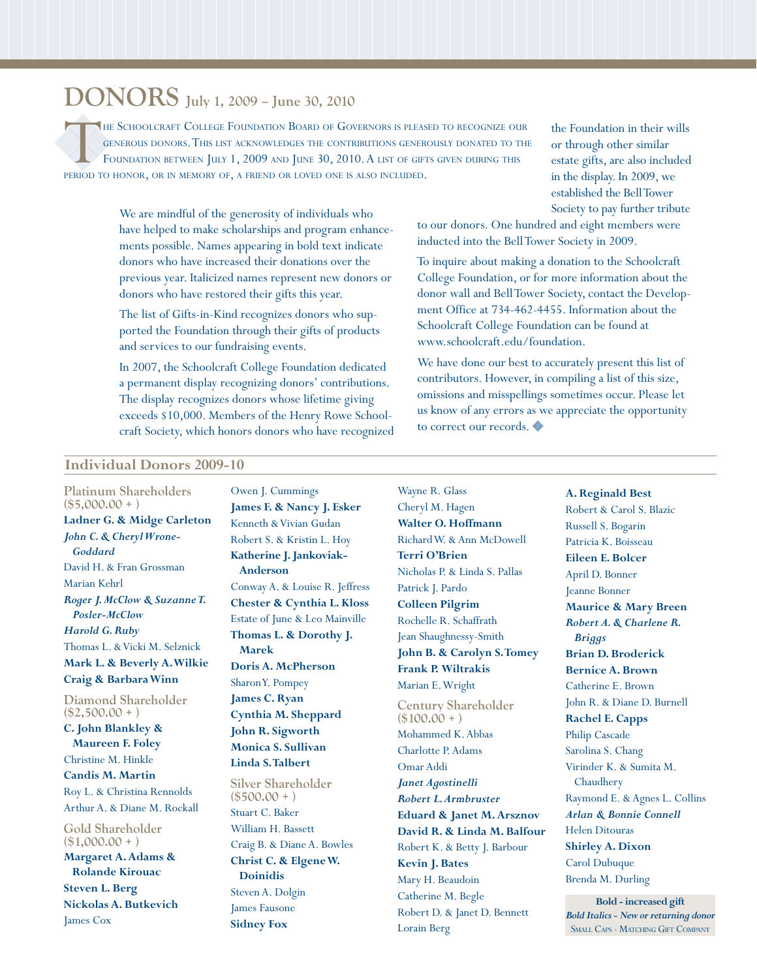## **DONORS July 1, 2009 – June 30, 2010**

THE SCHOOLCRAFT COLLEGE FOUNDATION BOARD OF GOVERNORS IS PLEASED TO RECOGNIZE OUR GENEROUS DONORS. THIS LIST ACKNOWLEDGES THE CONTRIBUTIONS GENEROUSLY DONATED TO THE FOUNDATION BETWEEN JULY 1, 2009 AND JUNE 30, 2010. A LIS generous donors. This list acknowledges the contributions generously donated to the FOUNDATION BETWEEN JULY 1, 2009 AND JUNE 30, 2010. A LIST OF GIFTS GIVEN DURING THIS period to honor, or in memory of, a friend or loved one is also included.

> We are mindful of the generosity of individuals who have helped to make scholarships and program enhancements possible. Names appearing in bold text indicate donors who have increased their donations over the previous year. Italicized names represent new donors or donors who have restored their gifts this year.

The list of Gifts-in-Kind recognizes donors who supported the Foundation through their gifts of products and services to our fundraising events.

In 2007, the Schoolcraft College Foundation dedicated a permanent display recognizing donors' contributions. The display recognizes donors whose lifetime giving exceeds \$10,000. Members of the Henry Rowe Schoolcraft Society, which honors donors who have recognized

the Foundation in their wills or through other similar estate gifts, are also included in the display. In 2009, we established the Bell Tower Society to pay further tribute

to our donors. One hundred and eight members were inducted into the Bell Tower Society in 2009.

To inquire about making a donation to the Schoolcraft College Foundation, or for more information about the donor wall and Bell Tower Society, contact the Development Office at 734-462-4455. Information about the Schoolcraft College Foundation can be found at www.schoolcraft.edu/foundation.

We have done our best to accurately present this list of contributors. However, in compiling a list of this size, omissions and misspellings sometimes occur. Please let us know of any errors as we appreciate the opportunity to correct our records.

#### **Individual Donors 2009-10**

**Platinum Shareholders (\$5,000.00 + ) Ladner G. & Midge Carleton** *John C. & Cheryl Wrone-Goddard* David H. & Fran Grossman Marian Kehrl *Roger J. McClow & Suzanne T. Posler-McClow Harold G. Ruby* Thomas L. & Vicki M. Selznick **Mark L. & Beverly A. Wilkie Craig & Barbara Winn Diamond Shareholder (\$2,500.00 + ) C. John Blankley & Maureen F. Foley** Christine M. Hinkle **Candis M. Martin** Roy L. & Christina Rennolds Arthur A. & Diane M. Rockall **Gold Shareholder (\$1,000.00 + ) Margaret A. Adams & Rolande Kirouac Steven L. Berg Nickolas A. Butkevich** James Cox

Owen J. Cummings **James F. & Nancy J. Esker** Kenneth & Vivian Gudan Robert S. & Kristin L. Hoy **Katherine J. Jankoviak-Anderson** Conway A. & Louise R. Jeffress **Chester & Cynthia L. Kloss** Estate of June & Leo Mainville **Thomas L. & Dorothy J. Marek Doris A. McPherson** Sharon Y. Pompey **James C. Ryan Cynthia M. Sheppard John R. Sigworth Monica S. Sullivan Linda S. Talbert Silver Shareholder (\$500.00 + )** Stuart C. Baker William H. Bassett Craig B. & Diane A. Bowles

**Christ C. & Elgene W. Doinidis** Steven A. Dolgin James Fausone **Sidney Fox**

Wayne R. Glass Cheryl M. Hagen **Walter O. Hoffmann** Richard W. & Ann McDowell **Terri O'Brien** Nicholas P. & Linda S. Pallas Patrick J. Pardo **Colleen Pilgrim** Rochelle R. Schaffrath Jean Shaughnessy-Smith **John B. & Carolyn S. Tomey Frank P. Wiltrakis** Marian E. Wright

**Century Shareholder (\$100.00 + )** Mohammed K. Abbas Charlotte P. Adams Omar Addi *Janet Agostinelli Robert L. Armbruster* **Eduard & Janet M. Arsznov David R. & Linda M. Balfour** Robert K. & Betty J. Barbour **Kevin J. Bates** Mary H. Beaudoin Catherine M. Begle Robert D. & Janet D. Bennett Lorain Berg

**A. Reginald Best** Robert & Carol S. Blazic Russell S. Bogarin Patricia K. Boisseau **Eileen E. Bolcer** April D. Bonner Jeanne Bonner **Maurice & Mary Breen** *Robert A. & Charlene R. Briggs* **Brian D. Broderick Bernice A. Brown** Catherine E. Brown John R. & Diane D. Burnell **Rachel E. Capps** Philip Cascade Sarolina S. Chang Virinder K. & Sumita M. Chaudhery Raymond E. & Agnes L. Collins *Arlan & Bonnie Connell* Helen Ditouras **Shirley A. Dixon** Carol Dubuque Brenda M. Durling

**Bold - increased gift** *Bold Italics - New or returning donor* Small Caps - Matching Gift Company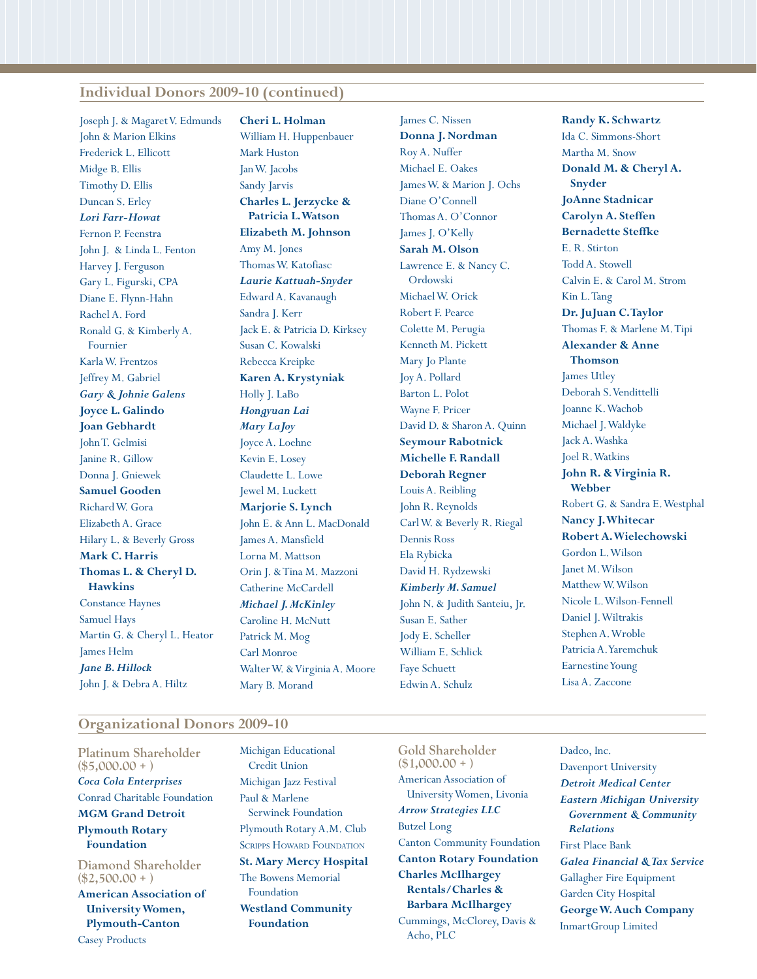#### **Individual Donors 2009-10 (continued)**

Joseph J. & Magaret V. Edmunds John & Marion Elkins Frederick L. Ellicott Midge B. Ellis Timothy D. Ellis Duncan S. Erley *Lori Farr-Howat* Fernon P. Feenstra John J. & Linda L. Fenton Harvey J. Ferguson Gary L. Figurski, CPA Diane E. Flynn-Hahn Rachel A. Ford Ronald G. & Kimberly A. Fournier Karla W. Frentzos Jeffrey M. Gabriel *Gary & Johnie Galens* **Joyce L. Galindo Joan Gebhardt** John T. Gelmisi Janine R. Gillow Donna J. Gniewek **Samuel Gooden** Richard W. Gora Elizabeth A. Grace Hilary L. & Beverly Gross **Mark C. Harris Thomas L. & Cheryl D. Hawkins** Constance Haynes Samuel Hays Martin G. & Cheryl L. Heator James Helm *Jane B. Hillock* John J. & Debra A. Hiltz

**Cheri L. Holman** William H. Huppenbauer Mark Huston Jan W. Jacobs Sandy Jarvis **Charles L. Jerzycke & Patricia L. Watson Elizabeth M. Johnson** Amy M. Jones Thomas W. Katofiasc *Laurie Kattuah-Snyder* Edward A. Kavanaugh Sandra J. Kerr Jack E. & Patricia D. Kirksey Susan C. Kowalski Rebecca Kreipke **Karen A. Krystyniak** Holly J. LaBo *Hongyuan Lai Mary LaJoy* Joyce A. Loehne Kevin E. Losey Claudette L. Lowe Jewel M. Luckett **Marjorie S. Lynch** John E. & Ann L. MacDonald James A. Mansfield Lorna M. Mattson Orin J. & Tina M. Mazzoni Catherine McCardell *Michael J. McKinley* Caroline H. McNutt Patrick M. Mog Carl Monroe Walter W. & Virginia A. Moore Mary B. Morand

James C. Nissen **Donna J. Nordman** Roy A. Nuffer Michael E. Oakes James W. & Marion J. Ochs Diane O'Connell Thomas A. O'Connor James J. O'Kelly **Sarah M. Olson** Lawrence E. & Nancy C. Ordowski Michael W. Orick Robert F. Pearce Colette M. Perugia Kenneth M. Pickett Mary Jo Plante Joy A. Pollard Barton L. Polot Wayne F. Pricer David D. & Sharon A. Quinn **Seymour Rabotnick Michelle F. Randall Deborah Regner** Louis A. Reibling John R. Reynolds Carl W. & Beverly R. Riegal Dennis Ross Ela Rybicka David H. Rydzewski *Kimberly M. Samuel* John N. & Judith Santeiu, Jr. Susan E. Sather Jody E. Scheller William E. Schlick Faye Schuett Edwin A. Schulz

**Randy K. Schwartz** Ida C. Simmons-Short Martha M. Snow **Donald M. & Cheryl A. Snyder JoAnne Stadnicar Carolyn A. Steffen Bernadette Steffke** E. R. Stirton Todd A. Stowell Calvin E. & Carol M. Strom Kin L. Tang **Dr. JuJuan C. Taylor** Thomas F. & Marlene M. Tipi **Alexander & Anne Thomson** James Utley Deborah S. Vendittelli Joanne K. Wachob Michael J. Waldyke Jack A. Washka Joel R. Watkins **John R. & Virginia R. Webber** Robert G. & Sandra E. Westphal **Nancy J. Whitecar Robert A. Wielechowski** Gordon L. Wilson Janet M. Wilson Matthew W. Wilson Nicole L. Wilson-Fennell Daniel J. Wiltrakis Stephen A. Wroble Patricia A. Yaremchuk Earnestine Young

#### **Organizational Donors 2009-10**

**Platinum Shareholder (\$5,000.00 + )** *Coca Cola Enterprises* Conrad Charitable Foundation **MGM Grand Detroit Plymouth Rotary Foundation Diamond Shareholder (\$2,500.00 + )**

**American Association of University Women, Plymouth-Canton**

Casey Products

Michigan Educational Credit Union Michigan Jazz Festival Paul & Marlene Serwinek Foundation Plymouth Rotary A.M. Club SCRIPPS HOWARD FOUNDATION **St. Mary Mercy Hospital** The Bowens Memorial Foundation **Westland Community Foundation**

**Gold Shareholder (\$1,000.00 + )** American Association of University Women, Livonia *Arrow Strategies LLC* Butzel Long Canton Community Foundation **Canton Rotary Foundation Charles McIlhargey Rentals/Charles & Barbara McIlhargey** Cummings, McClorey, Davis & Acho, PLC

Dadco, Inc. Davenport University *Detroit Medical Center Eastern Michigan University Government & Community Relations* First Place Bank *Galea Financial & Tax Service* Gallagher Fire Equipment Garden City Hospital **George W. Auch Company** InmartGroup Limited

Lisa A. Zaccone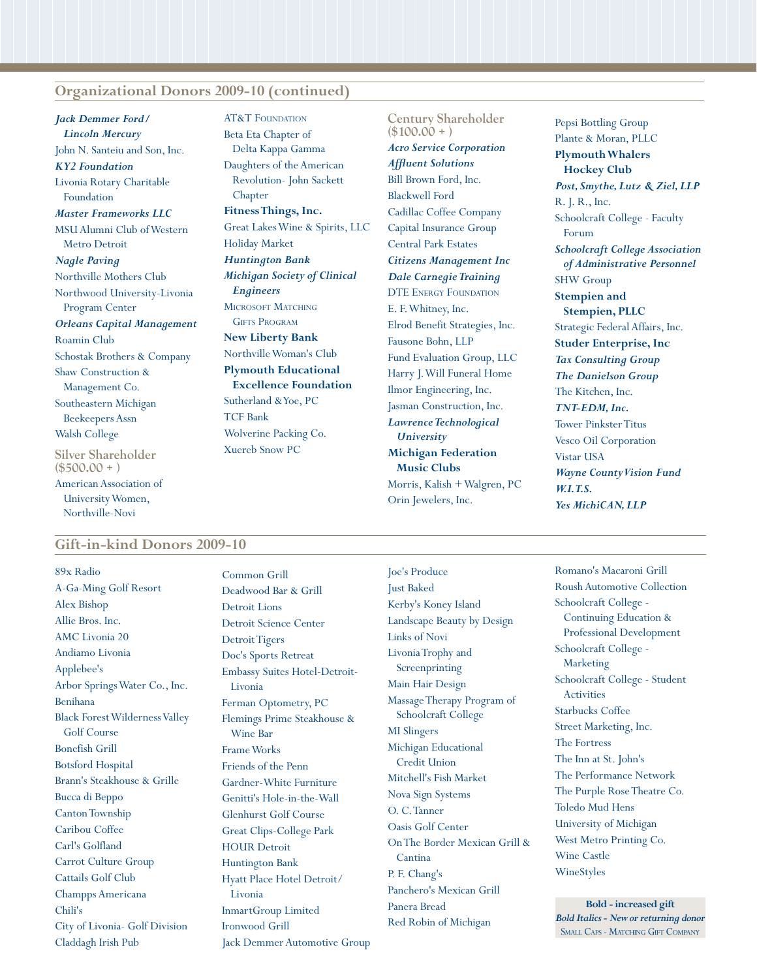#### **Organizational Donors 2009-10 (continued)**

*Jack Demmer Ford/ Lincoln Mercury* John N. Santeiu and Son, Inc. *KY2 Foundation* Livonia Rotary Charitable Foundation *Master Frameworks LLC* MSU Alumni Club of Western Metro Detroit *Nagle Paving* Northville Mothers Club Northwood University-Livonia Program Center *Orleans Capital Management* Roamin Club Schostak Brothers & Company Shaw Construction & Management Co. Southeastern Michigan Beekeepers Assn Walsh College **Silver Shareholder (\$500.00 + )** American Association of University Women,

**AT&T FOUNDATION** Beta Eta Chapter of Delta Kappa Gamma Daughters of the American Revolution- John Sackett Chapter **Fitness Things, Inc.** Great Lakes Wine & Spirits, LLC Holiday Market *Huntington Bank Michigan Society of Clinical Engineers* MICROSOFT MATCHING **GIFTS PROGRAM New Liberty Bank** Northville Woman's Club **Plymouth Educational Excellence Foundation** Sutherland & Yoe, PC TCF Bank Wolverine Packing Co. Xuereb Snow PC

**Century Shareholder (\$100.00 + )** *Acro Service Corporation Affluent Solutions* Bill Brown Ford, Inc. Blackwell Ford Cadillac Coffee Company Capital Insurance Group Central Park Estates *Citizens Management Inc Dale Carnegie Training* DTE Energy Foundation E. F. Whitney, Inc. Elrod Benefit Strategies, Inc. Fausone Bohn, LLP Fund Evaluation Group, LLC Harry J. Will Funeral Home Ilmor Engineering, Inc. Jasman Construction, Inc. *Lawrence Technological University* **Michigan Federation Music Clubs** Morris, Kalish + Walgren, PC Orin Jewelers, Inc.

Pepsi Bottling Group Plante & Moran, PLLC **Plymouth Whalers Hockey Club** *Post, Smythe, Lutz & Ziel, LLP* R. J. R., Inc. Schoolcraft College - Faculty Forum *Schoolcraft College Association of Administrative Personnel* SHW Group **Stempien and Stempien, PLLC** Strategic Federal Affairs, Inc. **Studer Enterprise, Inc** *Tax Consulting Group The Danielson Group* The Kitchen, Inc. *TNT-EDM, Inc.* Tower Pinkster Titus Vesco Oil Corporation Vistar USA *Wayne County Vision Fund W.I.T.S. Yes MichiCAN, LLP*

#### **Gift-in-kind Donors 2009-10**

Northville-Novi

89x Radio A-Ga-Ming Golf Resort Alex Bishop Allie Bros. Inc. AMC Livonia 20 Andiamo Livonia Applebee's Arbor Springs Water Co., Inc. Benihana Black Forest Wilderness Valley Golf Course Bonefish Grill Botsford Hospital Brann's Steakhouse & Grille Bucca di Beppo Canton Township Caribou Coffee Carl's Golfland Carrot Culture Group Cattails Golf Club Champps Americana Chili's City of Livonia- Golf Division Claddagh Irish Pub

Common Grill Deadwood Bar & Grill Detroit Lions Detroit Science Center Detroit Tigers Doc's Sports Retreat Embassy Suites Hotel-Detroit-Livonia Ferman Optometry, PC Flemings Prime Steakhouse & Wine Bar Frame Works Friends of the Penn Gardner-White Furniture Genitti's Hole-in-the-Wall Glenhurst Golf Course Great Clips-College Park HOUR Detroit Huntington Bank Hyatt Place Hotel Detroit/ Livonia InmartGroup Limited Ironwood Grill Jack Demmer Automotive Group Joe's Produce Just Baked Kerby's Koney Island Landscape Beauty by Design Links of Novi Livonia Trophy and Screenprinting Main Hair Design Massage Therapy Program of Schoolcraft College MI Slingers Michigan Educational Credit Union Mitchell's Fish Market Nova Sign Systems O. C. Tanner Oasis Golf Center On The Border Mexican Grill & **Cantina** P. F. Chang's Panchero's Mexican Grill Panera Bread Red Robin of Michigan

Romano's Macaroni Grill Roush Automotive Collection Schoolcraft College - Continuing Education & Professional Development Schoolcraft College - Marketing Schoolcraft College - Student Activities Starbucks Coffee Street Marketing, Inc. The Fortress The Inn at St. John's The Performance Network The Purple Rose Theatre Co. Toledo Mud Hens University of Michigan West Metro Printing Co. Wine Castle WineStyles

**Bold - increased gift** *Bold Italics - New or returning donor* SMALL CAPS - MATCHING GIFT COMPANY